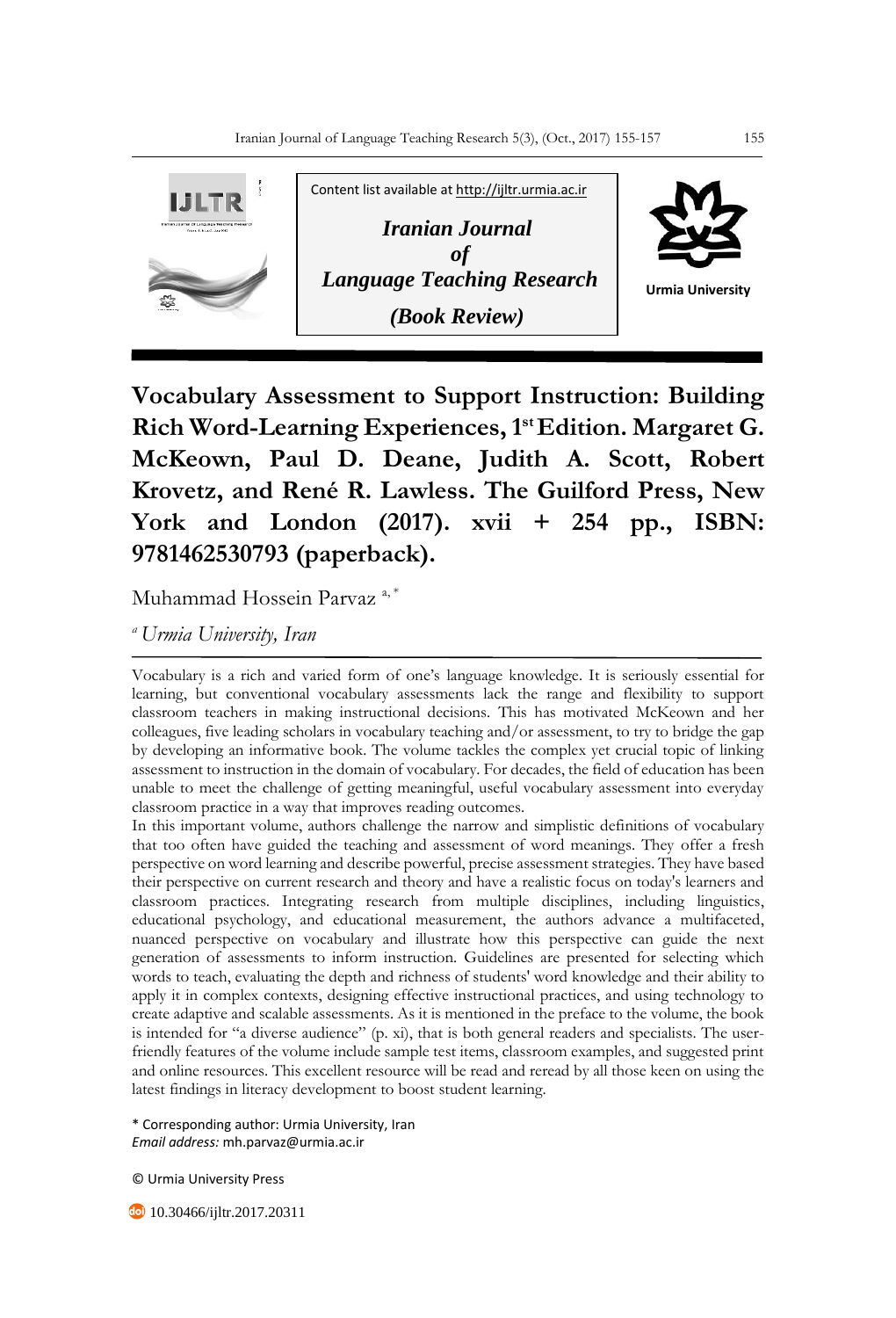

**Vocabulary Assessment to Support Instruction: Building Rich Word-Learning Experiences, 1st Edition. Margaret G. McKeown, Paul D. Deane, Judith A. Scott, Robert Krovetz, and René R. Lawless. The Guilford Press, New York and London (2017). xvii + 254 pp., ISBN: 9781462530793 (paperback).**

Muhammad Hossein Parvaz<sup>a,\*</sup>

*<sup>a</sup>Urmia University, Iran*

Vocabulary is a rich and varied form of one's language knowledge. It is seriously essential for learning, but conventional vocabulary assessments lack the range and flexibility to support classroom teachers in making instructional decisions. This has motivated McKeown and her colleagues, five leading scholars in vocabulary teaching and/or assessment, to try to bridge the gap by developing an informative book. The volume tackles the complex yet crucial topic of linking assessment to instruction in the domain of vocabulary. For decades, the field of education has been unable to meet the challenge of getting meaningful, useful vocabulary assessment into everyday classroom practice in a way that improves reading outcomes.

In this important volume, authors challenge the narrow and simplistic definitions of vocabulary that too often have guided the teaching and assessment of word meanings. They offer a fresh perspective on word learning and describe powerful, precise assessment strategies. They have based their perspective on current research and theory and have a realistic focus on today's learners and classroom practices. Integrating research from multiple disciplines, including linguistics, educational psychology, and educational measurement, the authors advance a multifaceted, nuanced perspective on vocabulary and illustrate how this perspective can guide the next generation of assessments to inform instruction. Guidelines are presented for selecting which words to teach, evaluating the depth and richness of students' word knowledge and their ability to apply it in complex contexts, designing effective instructional practices, and using technology to create adaptive and scalable assessments. As it is mentioned in the preface to the volume, the book is intended for "a diverse audience" (p. xi), that is both general readers and specialists. The userfriendly features of the volume include sample test items, classroom examples, and suggested print and online resources. This excellent resource will be read and reread by all those keen on using the latest findings in literacy development to boost student learning.

\* Corresponding author: Urmia University, Iran *Email address:* mh.parvaz@urmia.ac.ir

© Urmia University Press

**40** 10.30466/ijltr.2017.20311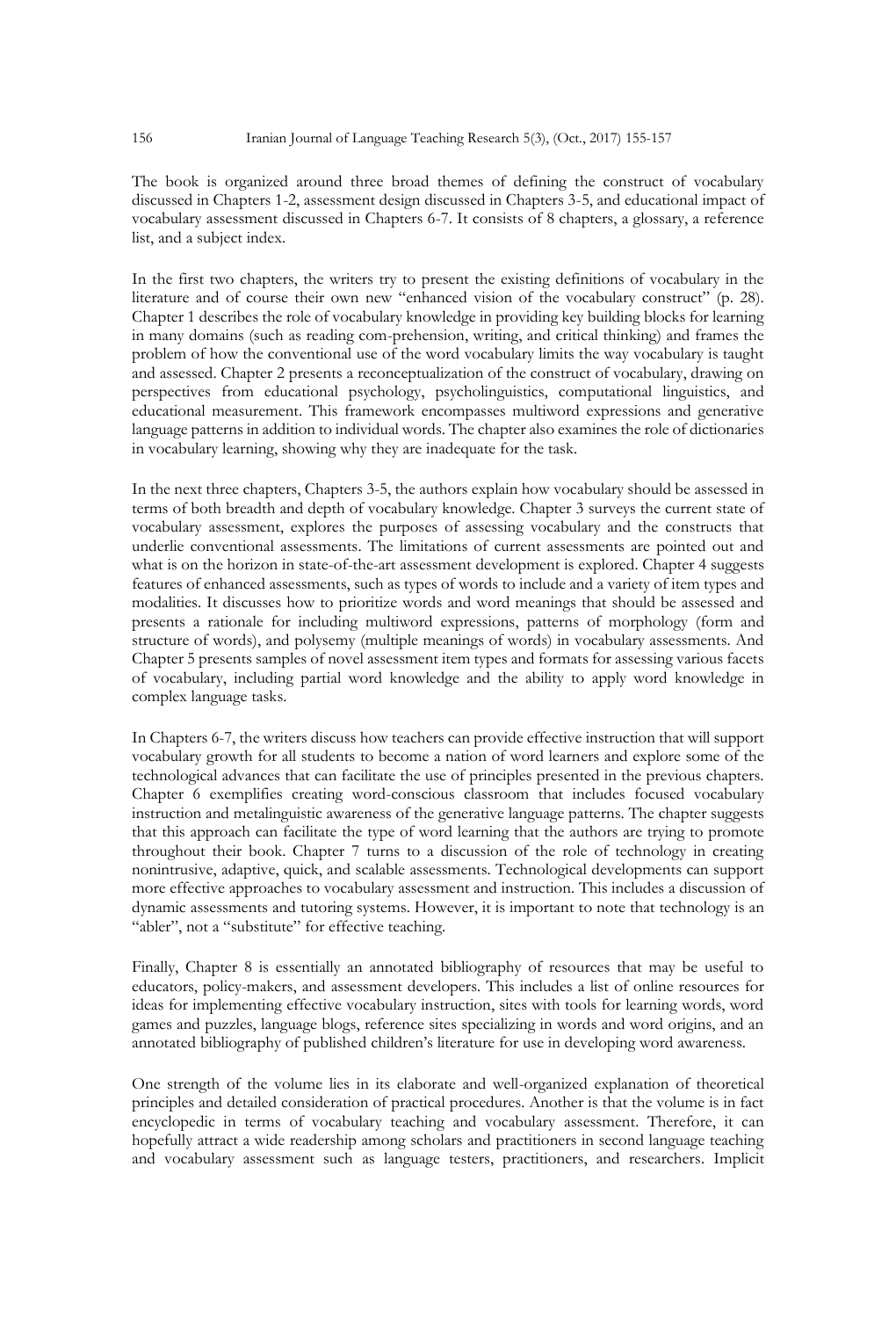The book is organized around three broad themes of defining the construct of vocabulary discussed in Chapters 1-2, assessment design discussed in Chapters 3-5, and educational impact of vocabulary assessment discussed in Chapters 6-7. It consists of 8 chapters, a glossary, a reference list, and a subject index.

In the first two chapters, the writers try to present the existing definitions of vocabulary in the literature and of course their own new "enhanced vision of the vocabulary construct" (p. 28). Chapter 1 describes the role of vocabulary knowledge in providing key building blocks for learning in many domains (such as reading com-prehension, writing, and critical thinking) and frames the problem of how the conventional use of the word vocabulary limits the way vocabulary is taught and assessed. Chapter 2 presents a reconceptualization of the construct of vocabulary, drawing on perspectives from educational psychology, psycholinguistics, computational linguistics, and educational measurement. This framework encompasses multiword expressions and generative language patterns in addition to individual words. The chapter also examines the role of dictionaries in vocabulary learning, showing why they are inadequate for the task.

In the next three chapters, Chapters 3-5, the authors explain how vocabulary should be assessed in terms of both breadth and depth of vocabulary knowledge. Chapter 3 surveys the current state of vocabulary assessment, explores the purposes of assessing vocabulary and the constructs that underlie conventional assessments. The limitations of current assessments are pointed out and what is on the horizon in state-of-the-art assessment development is explored. Chapter 4 suggests features of enhanced assessments, such as types of words to include and a variety of item types and modalities. It discusses how to prioritize words and word meanings that should be assessed and presents a rationale for including multiword expressions, patterns of morphology (form and structure of words), and polysemy (multiple meanings of words) in vocabulary assessments. And Chapter 5 presents samples of novel assessment item types and formats for assessing various facets of vocabulary, including partial word knowledge and the ability to apply word knowledge in complex language tasks.

In Chapters 6-7, the writers discuss how teachers can provide effective instruction that will support vocabulary growth for all students to become a nation of word learners and explore some of the technological advances that can facilitate the use of principles presented in the previous chapters. Chapter 6 exemplifies creating word-conscious classroom that includes focused vocabulary instruction and metalinguistic awareness of the generative language patterns. The chapter suggests that this approach can facilitate the type of word learning that the authors are trying to promote throughout their book. Chapter 7 turns to a discussion of the role of technology in creating nonintrusive, adaptive, quick, and scalable assessments. Technological developments can support more effective approaches to vocabulary assessment and instruction. This includes a discussion of dynamic assessments and tutoring systems. However, it is important to note that technology is an "abler", not a "substitute" for effective teaching.

Finally, Chapter 8 is essentially an annotated bibliography of resources that may be useful to educators, policy-makers, and assessment developers. This includes a list of online resources for ideas for implementing effective vocabulary instruction, sites with tools for learning words, word games and puzzles, language blogs, reference sites specializing in words and word origins, and an annotated bibliography of published children's literature for use in developing word awareness.

One strength of the volume lies in its elaborate and well-organized explanation of theoretical principles and detailed consideration of practical procedures. Another is that the volume is in fact encyclopedic in terms of vocabulary teaching and vocabulary assessment. Therefore, it can hopefully attract a wide readership among scholars and practitioners in second language teaching and vocabulary assessment such as language testers, practitioners, and researchers. Implicit